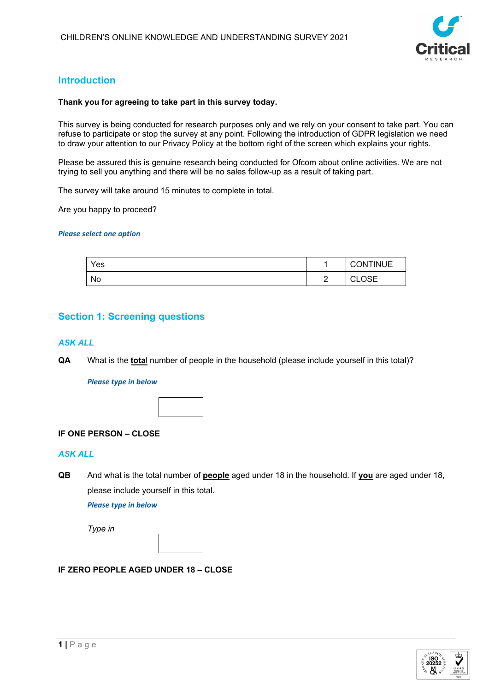

# **Introduction**

### **Thank you for agreeing to take part in this survey today.**

This survey is being conducted for research purposes only and we rely on your consent to take part. You can refuse to participate or stop the survey at any point. Following the introduction of GDPR legislation we need to draw your attention to our Privacy Policy at the bottom right of the screen which explains your rights.

Please be assured this is genuine research being conducted for Ofcom about online activities. We are not trying to sell you anything and there will be no sales follow-up as a result of taking part.

The survey will take around 15 minutes to complete in total.

Are you happy to proceed?

### *Please select one option*

| Yes |                 | <b>CONTINUE</b>        |
|-----|-----------------|------------------------|
| No  | $\sqrt{2}$<br>_ | ∩s⊏<br>$\sim$<br>◡∟◡◡⊏ |

# **Section 1: Screening questions**

### *ASK ALL*

**QA** What is the **tota**l number of people in the household (please include yourself in this total)?

#### *Please type in below*



### **IF ONE PERSON – CLOSE**

## *ASK ALL*

**QB** And what is the total number of **people** aged under 18 in the household. If **you** are aged under 18, please include yourself in this total.

*Please type in below*

*Type in*

### **IF ZERO PEOPLE AGED UNDER 18 – CLOSE**

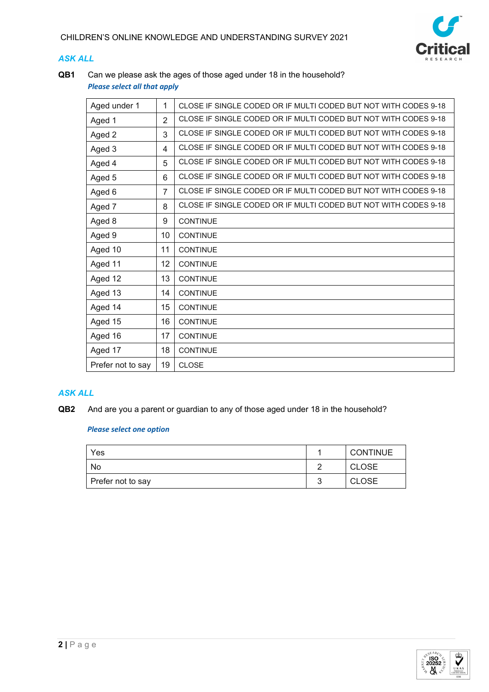

# *ASK ALL*

**QB1** Can we please ask the ages of those aged under 18 in the household? *Please select all that apply*

| Aged under 1      | 1              | CLOSE IF SINGLE CODED OR IF MULTI CODED BUT NOT WITH CODES 9-18 |
|-------------------|----------------|-----------------------------------------------------------------|
| Aged 1            | $\overline{2}$ | CLOSE IF SINGLE CODED OR IF MULTI CODED BUT NOT WITH CODES 9-18 |
| Aged 2            | 3              | CLOSE IF SINGLE CODED OR IF MULTI CODED BUT NOT WITH CODES 9-18 |
| Aged 3            | 4              | CLOSE IF SINGLE CODED OR IF MULTI CODED BUT NOT WITH CODES 9-18 |
| Aged 4            | 5              | CLOSE IF SINGLE CODED OR IF MULTI CODED BUT NOT WITH CODES 9-18 |
| Aged 5            | 6              | CLOSE IF SINGLE CODED OR IF MULTI CODED BUT NOT WITH CODES 9-18 |
| Aged 6            | $\overline{7}$ | CLOSE IF SINGLE CODED OR IF MULTI CODED BUT NOT WITH CODES 9-18 |
| Aged 7            | 8              | CLOSE IF SINGLE CODED OR IF MULTI CODED BUT NOT WITH CODES 9-18 |
| Aged 8            | 9              | <b>CONTINUE</b>                                                 |
| Aged 9            | 10             | <b>CONTINUE</b>                                                 |
| Aged 10           | 11             | <b>CONTINUE</b>                                                 |
| Aged 11           | 12             | <b>CONTINUE</b>                                                 |
| Aged 12           | 13             | <b>CONTINUE</b>                                                 |
| Aged 13           | 14             | <b>CONTINUE</b>                                                 |
| Aged 14           | 15             | <b>CONTINUE</b>                                                 |
| Aged 15           | 16             | <b>CONTINUE</b>                                                 |
| Aged 16           | 17             | <b>CONTINUE</b>                                                 |
| Aged 17           | 18             | <b>CONTINUE</b>                                                 |
| Prefer not to say | 19             | <b>CLOSE</b>                                                    |

# *ASK ALL*

**QB2** And are you a parent or guardian to any of those aged under 18 in the household?

| Yes               | <b>CONTINUE</b> |
|-------------------|-----------------|
| No                | <b>CLOSE</b>    |
| Prefer not to say | <b>CLOSE</b>    |

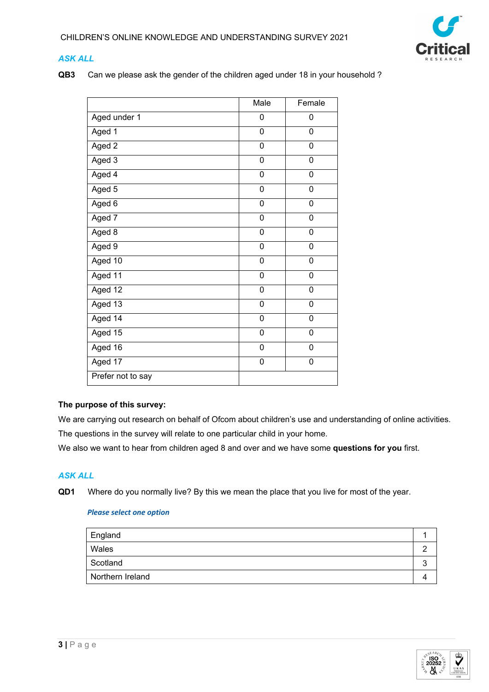

# *ASK ALL*

**QB3** Can we please ask the gender of the children aged under 18 in your household ?

|                   | Male        | Female         |
|-------------------|-------------|----------------|
| Aged under 1      | 0           | 0              |
| Aged 1            | 0           | 0              |
| Aged 2            | 0           | 0              |
| Aged 3            | 0           | 0              |
| Aged 4            | 0           | $\mathbf 0$    |
| Aged 5            | 0           | 0              |
| Aged 6            | 0           | 0              |
| Aged 7            | 0           | 0              |
| Aged 8            | 0           | 0              |
| Aged 9            | 0           | 0              |
| Aged 10           | 0           | 0              |
| Aged 11           | 0           | 0              |
| Aged 12           | $\mathbf 0$ | $\overline{0}$ |
| Aged 13           | 0           | 0              |
| Aged 14           | 0           | 0              |
| Aged $15$         | 0           | 0              |
| Aged $16$         | 0           | 0              |
| Aged 17           | 0           | 0              |
| Prefer not to say |             |                |

## **The purpose of this survey:**

We are carrying out research on behalf of Ofcom about children's use and understanding of online activities. The questions in the survey will relate to one particular child in your home.

We also we want to hear from children aged 8 and over and we have some **questions for you** first.

# *ASK ALL*

**QD1** Where do you normally live? By this we mean the place that you live for most of the year.

| England          |  |
|------------------|--|
| Wales            |  |
| Scotland         |  |
| Northern Ireland |  |

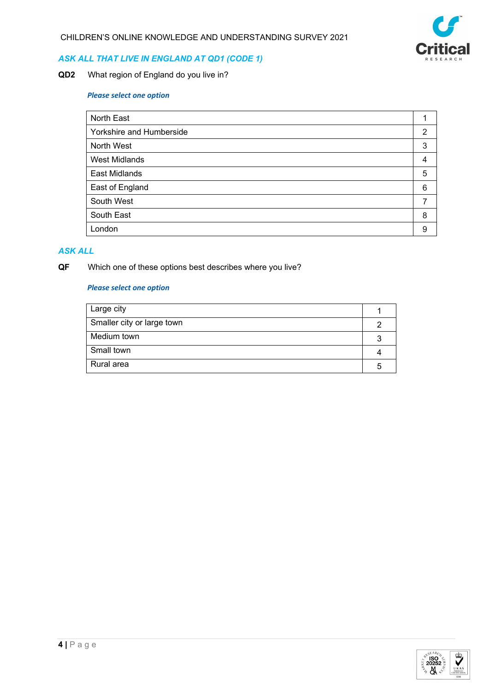

# *ASK ALL THAT LIVE IN ENGLAND AT QD1 (CODE 1)*

**QD2** What region of England do you live in?

## *Please select one option*

| North East               |                |
|--------------------------|----------------|
| Yorkshire and Humberside | $\overline{2}$ |
| North West               | 3              |
| <b>West Midlands</b>     | 4              |
| <b>East Midlands</b>     | 5              |
| East of England          | 6              |
| South West               |                |
| South East               | 8              |
| London                   | 9              |

# *ASK ALL*

**QF** Which one of these options best describes where you live?

| Large city                 |   |
|----------------------------|---|
| Smaller city or large town |   |
| Medium town                |   |
| Small town                 |   |
| Rural area                 | ∽ |

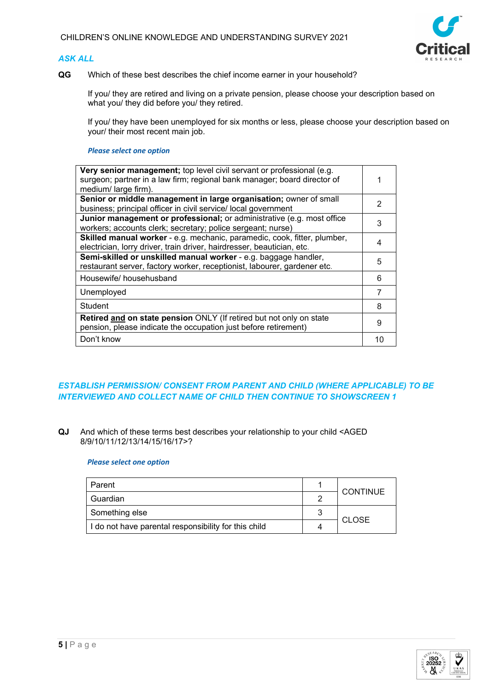## *ASK ALL*



**QG** Which of these best describes the chief income earner in your household?

If you/ they are retired and living on a private pension, please choose your description based on what you/ they did before you/ they retired.

If you/ they have been unemployed for six months or less, please choose your description based on your/ their most recent main job.

#### *Please select one option*

| Very senior management; top level civil servant or professional (e.g.<br>surgeon; partner in a law firm; regional bank manager; board director of<br>medium/large firm). |    |  |
|--------------------------------------------------------------------------------------------------------------------------------------------------------------------------|----|--|
| Senior or middle management in large organisation; owner of small                                                                                                        | 2  |  |
| business; principal officer in civil service/ local government                                                                                                           |    |  |
| Junior management or professional; or administrative (e.g. most office                                                                                                   | 3  |  |
| workers; accounts clerk; secretary; police sergeant; nurse)                                                                                                              |    |  |
| Skilled manual worker - e.g. mechanic, paramedic, cook, fitter, plumber,                                                                                                 |    |  |
| electrician, lorry driver, train driver, hairdresser, beautician, etc.                                                                                                   |    |  |
| Semi-skilled or unskilled manual worker - e.g. baggage handler,                                                                                                          |    |  |
| restaurant server, factory worker, receptionist, labourer, gardener etc.                                                                                                 | 5  |  |
| Housewife/househusband                                                                                                                                                   | 6  |  |
| Unemployed                                                                                                                                                               |    |  |
| Student                                                                                                                                                                  | 8  |  |
| Retired and on state pension ONLY (If retired but not only on state<br>pension, please indicate the occupation just before retirement)                                   | 9  |  |
| Don't know                                                                                                                                                               | 10 |  |

## *ESTABLISH PERMISSION/ CONSENT FROM PARENT AND CHILD (WHERE APPLICABLE) TO BE INTERVIEWED AND COLLECT NAME OF CHILD THEN CONTINUE TO SHOWSCREEN 1*

**QJ** And which of these terms best describes your relationship to your child <AGED 8/9/10/11/12/13/14/15/16/17>?

| Parent                                               |   | <b>CONTINUE</b> |  |
|------------------------------------------------------|---|-----------------|--|
| Guardian                                             |   |                 |  |
| Something else                                       |   |                 |  |
| I do not have parental responsibility for this child | 4 | <b>CLOSE</b>    |  |

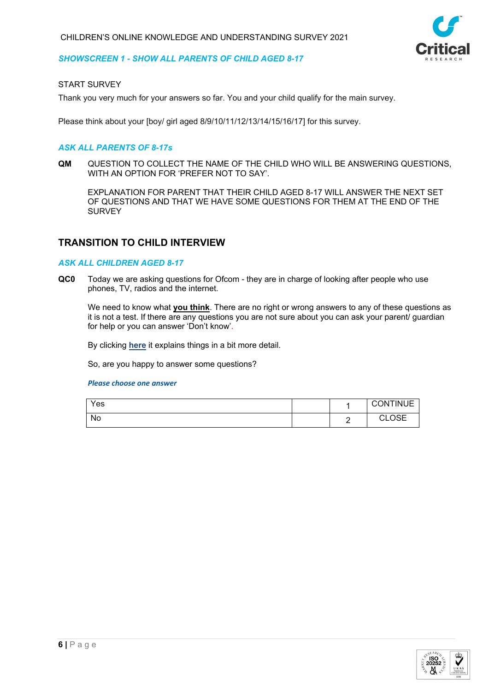

### *SHOWSCREEN 1 - SHOW ALL PARENTS OF CHILD AGED 8-17*

### START SURVEY

Thank you very much for your answers so far. You and your child qualify for the main survey.

Please think about your [boy/ girl aged 8/9/10/11/12/13/14/15/16/17] for this survey.

### *ASK ALL PARENTS OF 8-17s*

**QM** QUESTION TO COLLECT THE NAME OF THE CHILD WHO WILL BE ANSWERING QUESTIONS, WITH AN OPTION FOR 'PREFER NOT TO SAY'.

EXPLANATION FOR PARENT THAT THEIR CHILD AGED 8-17 WILL ANSWER THE NEXT SET OF QUESTIONS AND THAT WE HAVE SOME QUESTIONS FOR THEM AT THE END OF THE **SURVEY** 

# **TRANSITION TO CHILD INTERVIEW**

#### *ASK ALL CHILDREN AGED 8-17*

**QC0** Today we are asking questions for Ofcom - they are in charge of looking after people who use phones, TV, radios and the internet.

We need to know what **you think**. There are no right or wrong answers to any of these questions as it is not a test. If there are any questions you are not sure about you can ask your parent/ guardian for help or you can answer 'Don't know'.

By clicking **here** it explains things in a bit more detail.

So, are you happy to answer some questions?

| Yes |  | <b>CONTINUE</b> |
|-----|--|-----------------|
| No  |  | CI USE<br>◡∟◡◡⊏ |

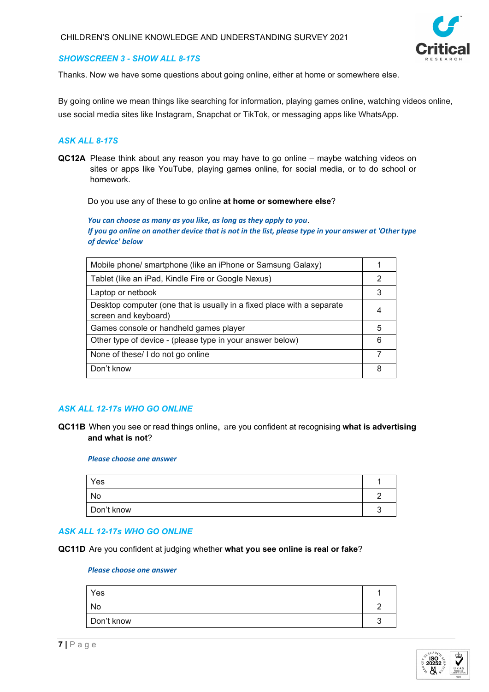

### *SHOWSCREEN 3 - SHOW ALL 8-17S*

Thanks. Now we have some questions about going online, either at home or somewhere else.

By going online we mean things like searching for information, playing games online, watching videos online, use social media sites like Instagram, Snapchat or TikTok, or messaging apps like WhatsApp.

### *ASK ALL 8-17S*

**QC12A** Please think about any reason you may have to go online – maybe watching videos on sites or apps like YouTube, playing games online, for social media, or to do school or homework.

Do you use any of these to go online **at home or somewhere else**?

*You can choose as many as you like, as long as they apply to you*. *If you go online on another device that is not in the list, please type in your answer at 'Other type of device' below*

| Mobile phone/ smartphone (like an iPhone or Samsung Galaxy)                                    |   |
|------------------------------------------------------------------------------------------------|---|
| Tablet (like an iPad, Kindle Fire or Google Nexus)                                             | 2 |
| Laptop or netbook                                                                              |   |
| Desktop computer (one that is usually in a fixed place with a separate<br>screen and keyboard) |   |
| Games console or handheld games player                                                         | 5 |
| Other type of device - (please type in your answer below)                                      | 6 |
| None of these/ I do not go online                                                              |   |
| Don't know                                                                                     | 8 |

## *ASK ALL 12-17s WHO GO ONLINE*

**QC11B** When you see or read things online, are you confident at recognising **what is advertising and what is not**?

#### *Please choose one answer*

| Yes        |  |
|------------|--|
| No         |  |
| Don't know |  |

### *ASK ALL 12-17s WHO GO ONLINE*

**QC11D** Are you confident at judging whether **what you see online is real or fake**?

| Yes        |   |
|------------|---|
| No         |   |
| Don't know | , |



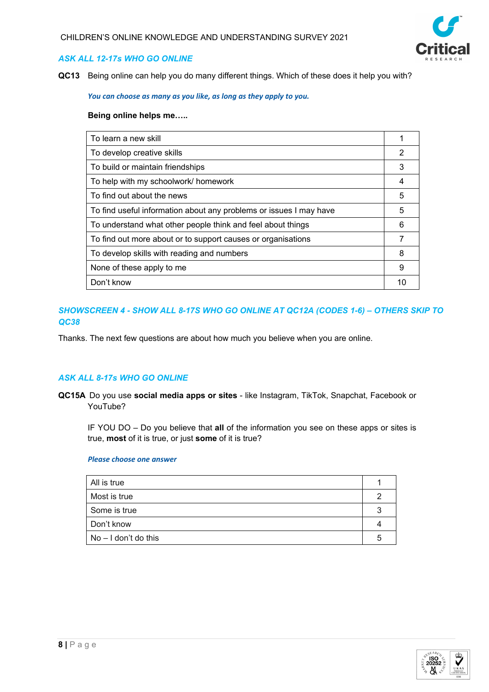

### *ASK ALL 12-17s WHO GO ONLINE*

**QC13** Being online can help you do many different things. Which of these does it help you with?

*You can choose as many as you like, as long as they apply to you.*

#### **Being online helps me…..**

| To learn a new skill                                               |   |
|--------------------------------------------------------------------|---|
| To develop creative skills                                         | 2 |
| To build or maintain friendships                                   | 3 |
| To help with my schoolwork/ homework                               | 4 |
| To find out about the news                                         | 5 |
| To find useful information about any problems or issues I may have | 5 |
| To understand what other people think and feel about things        | 6 |
| To find out more about or to support causes or organisations       |   |
| To develop skills with reading and numbers                         | 8 |
| None of these apply to me                                          | 9 |
| Don't know                                                         |   |

### *SHOWSCREEN 4 - SHOW ALL 8-17S WHO GO ONLINE AT QC12A (CODES 1-6) – OTHERS SKIP TO QC38*

Thanks. The next few questions are about how much you believe when you are online.

### *ASK ALL 8-17s WHO GO ONLINE*

**QC15A** Do you use **social media apps or sites** - like Instagram, TikTok, Snapchat, Facebook or YouTube?

IF YOU DO – Do you believe that **all** of the information you see on these apps or sites is true, **most** of it is true, or just **some** of it is true?

| All is true            |   |
|------------------------|---|
| Most is true           |   |
| Some is true           |   |
| Don't know             |   |
| $No - I don't do this$ | r |
|                        |   |

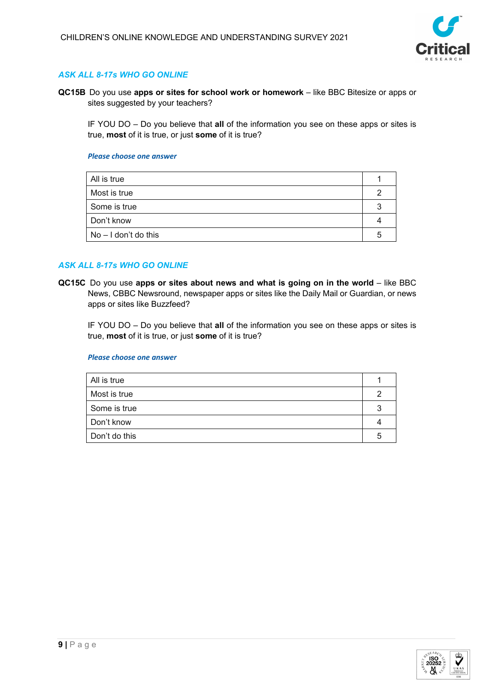

## *ASK ALL 8-17s WHO GO ONLINE*

**QC15B** Do you use **apps or sites for school work or homework** – like BBC Bitesize or apps or sites suggested by your teachers?

IF YOU DO – Do you believe that **all** of the information you see on these apps or sites is true, **most** of it is true, or just **some** of it is true?

#### *Please choose one answer*

| All is true            |  |
|------------------------|--|
| Most is true           |  |
| Some is true           |  |
| Don't know             |  |
| $No - I don't do this$ |  |
|                        |  |

### *ASK ALL 8-17s WHO GO ONLINE*

**QC15C** Do you use apps or sites about news and what is going on in the world – like BBC News, CBBC Newsround, newspaper apps or sites like the Daily Mail or Guardian, or news apps or sites like Buzzfeed?

IF YOU DO – Do you believe that **all** of the information you see on these apps or sites is true, **most** of it is true, or just **some** of it is true?

| All is true   |  |
|---------------|--|
| Most is true  |  |
| Some is true  |  |
| Don't know    |  |
| Don't do this |  |

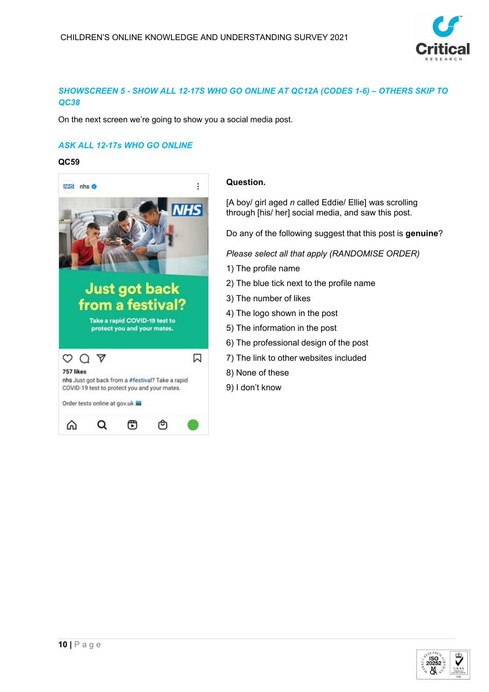

# *SHOWSCREEN 5 - SHOW ALL 12-17S WHO GO ONLINE AT QC12A (CODES 1-6) – OTHERS SKIP TO QC38*

On the next screen we're going to show you a social media post.

# *ASK ALL 12-17s WHO GO ONLINE*

### **QC59**



## **Question.**

[A boy/ girl aged *n* called Eddie/ Ellie] was scrolling through [his/ her] social media, and saw this post.

Do any of the following suggest that this post is **genuine**?

*Please select all that apply (RANDOMISE ORDER)*

- 1) The profile name
- 2) The blue tick next to the profile name
- 3) The number of likes
- 4) The logo shown in the post
- 5) The information in the post
- 6) The professional design of the post
- 7) The link to other websites included
- 8) None of these
- 9) I don't know

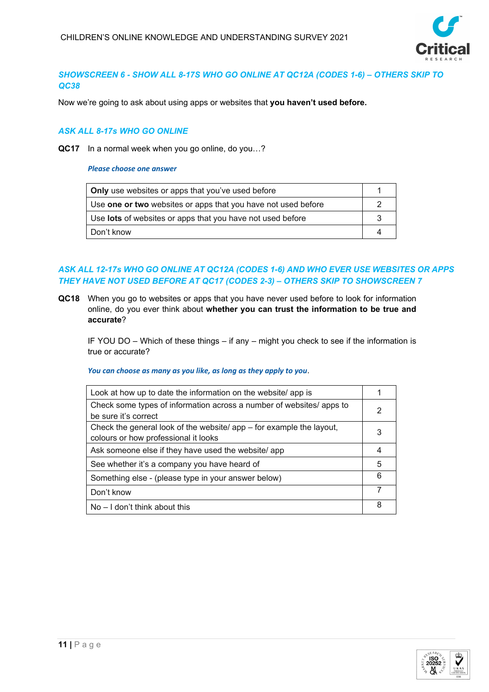

# *SHOWSCREEN 6 - SHOW ALL 8-17S WHO GO ONLINE AT QC12A (CODES 1-6) – OTHERS SKIP TO QC38*

Now we're going to ask about using apps or websites that **you haven't used before.**

### *ASK ALL 8-17s WHO GO ONLINE*

**QC17** In a normal week when you go online, do you…?

*Please choose one answer*

| <b>Only</b> use websites or apps that you've used before      |  |
|---------------------------------------------------------------|--|
| Use one or two websites or apps that you have not used before |  |
| Use lots of websites or apps that you have not used before    |  |
| Don't know                                                    |  |

# *ASK ALL 12-17s WHO GO ONLINE AT QC12A (CODES 1-6) AND WHO EVER USE WEBSITES OR APPS THEY HAVE NOT USED BEFORE AT QC17 (CODES 2-3) – OTHERS SKIP TO SHOWSCREEN 7*

**QC18** When you go to websites or apps that you have never used before to look for information online, do you ever think about **whether you can trust the information to be true and accurate**?

IF YOU DO – Which of these things – if any – might you check to see if the information is true or accurate?

*You can choose as many as you like, as long as they apply to you*.

| Look at how up to date the information on the website/ app is          |   |
|------------------------------------------------------------------------|---|
| Check some types of information across a number of websites/ apps to   | 2 |
| be sure it's correct                                                   |   |
| Check the general look of the website/ $app - for example$ the layout, |   |
| colours or how professional it looks                                   |   |
| Ask someone else if they have used the website/ app                    | 4 |
| See whether it's a company you have heard of                           | 5 |
| Something else - (please type in your answer below)                    | 6 |
| Don't know                                                             | 7 |
| $No - I don't think about this$                                        | 8 |

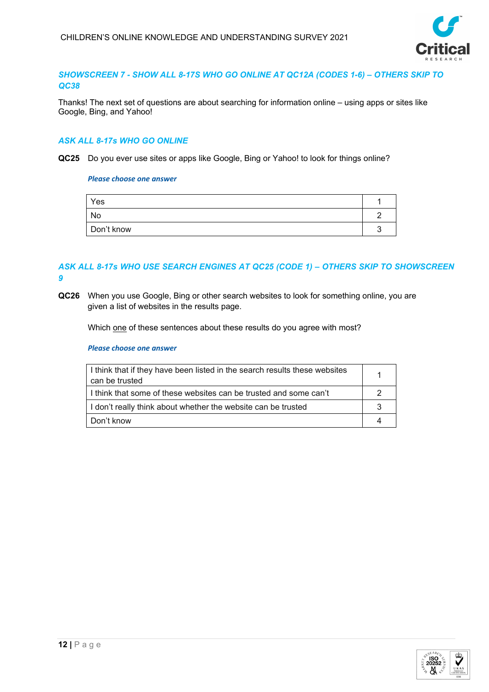

### *SHOWSCREEN 7 - SHOW ALL 8-17S WHO GO ONLINE AT QC12A (CODES 1-6) – OTHERS SKIP TO QC38*

Thanks! The next set of questions are about searching for information online – using apps or sites like Google, Bing, and Yahoo!

### *ASK ALL 8-17s WHO GO ONLINE*

**QC25** Do you ever use sites or apps like Google, Bing or Yahoo! to look for things online?

#### *Please choose one answer*

| Yes        |   |
|------------|---|
| No         |   |
| Don't know | , |

### *ASK ALL 8-17s WHO USE SEARCH ENGINES AT QC25 (CODE 1) – OTHERS SKIP TO SHOWSCREEN 9*

**QC26** When you use Google, Bing or other search websites to look for something online, you are given a list of websites in the results page.

Which one of these sentences about these results do you agree with most?

| I think that if they have been listed in the search results these websites<br>can be trusted |  |
|----------------------------------------------------------------------------------------------|--|
| I think that some of these websites can be trusted and some can't                            |  |
| I don't really think about whether the website can be trusted                                |  |
| Don't know                                                                                   |  |

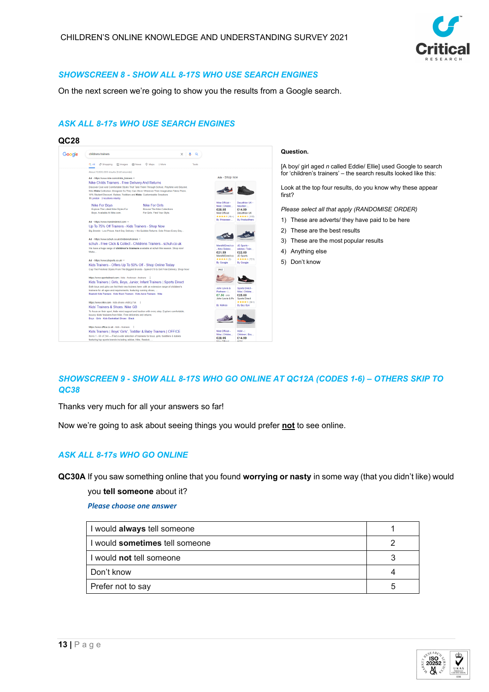

### *SHOWSCREEN 8 - SHOW ALL 8-17S WHO USE SEARCH ENGINES*

On the next screen we're going to show you the results from a Google search.

### *ASK ALL 8-17s WHO USE SEARCH ENGINES*





#### **Question.**

[A boy/ girl aged *n* called Eddie/ Ellie] used Google to search for 'children's trainers' – the search results looked like this:

Look at the top four results, do you know why these appear first?

*Please select all that apply (RANDOMISE ORDER)*

- 1) These are adverts/ they have paid to be here
- 2) These are the best results
- 3) These are the most popular results
- 4) Anything else
- 5) Don't know

# *SHOWSCREEN 9 - SHOW ALL 8-17S WHO GO ONLINE AT QC12A (CODES 1-6) – OTHERS SKIP TO QC38*

Thanks very much for all your answers so far!

Now we're going to ask about seeing things you would prefer **not** to see online.

### *ASK ALL 8-17s WHO GO ONLINE*

**QC30A** If you saw something online that you found **worrying or nasty** in some way (that you didn't like) would

you **tell someone** about it?

| I would always tell someone           |    |
|---------------------------------------|----|
| I would <b>sometimes</b> tell someone |    |
| I would not tell someone              |    |
| Don't know                            |    |
| Prefer not to say                     | .h |

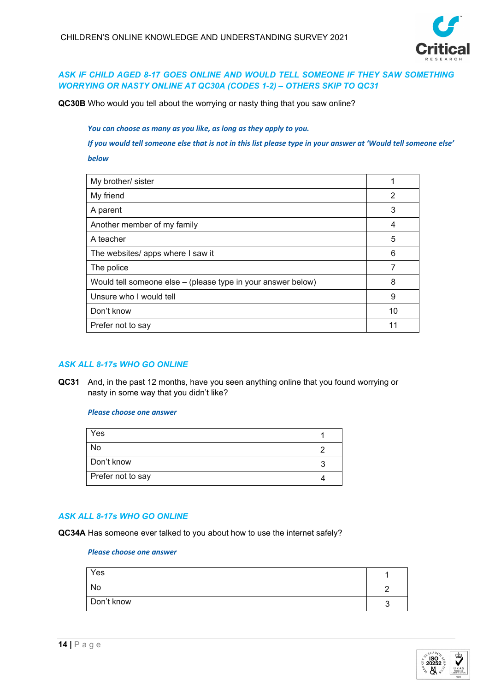

## *ASK IF CHILD AGED 8-17 GOES ONLINE AND WOULD TELL SOMEONE IF THEY SAW SOMETHING WORRYING OR NASTY ONLINE AT QC30A (CODES 1-2) – OTHERS SKIP TO QC31*

**QC30B** Who would you tell about the worrying or nasty thing that you saw online?

*You can choose as many as you like, as long as they apply to you.*

*If you would tell someone else that is not in this list please type in your answer at 'Would tell someone else' below*

| My brother/ sister                                           |    |
|--------------------------------------------------------------|----|
| My friend                                                    | 2  |
| A parent                                                     | 3  |
| Another member of my family                                  | 4  |
| A teacher                                                    | 5  |
| The websites/ apps where I saw it                            | 6  |
| The police                                                   |    |
| Would tell someone else - (please type in your answer below) | 8  |
| Unsure who I would tell                                      | 9  |
| Don't know                                                   | 10 |
| Prefer not to say                                            |    |
|                                                              |    |

### *ASK ALL 8-17s WHO GO ONLINE*

**QC31** And, in the past 12 months, have you seen anything online that you found worrying or nasty in some way that you didn't like?

#### *Please choose one answer*

| Yes               |  |
|-------------------|--|
| No                |  |
| Don't know        |  |
| Prefer not to say |  |

## *ASK ALL 8-17s WHO GO ONLINE*

**QC34A** Has someone ever talked to you about how to use the internet safely?

| Yes        |  |
|------------|--|
| No         |  |
| Don't know |  |

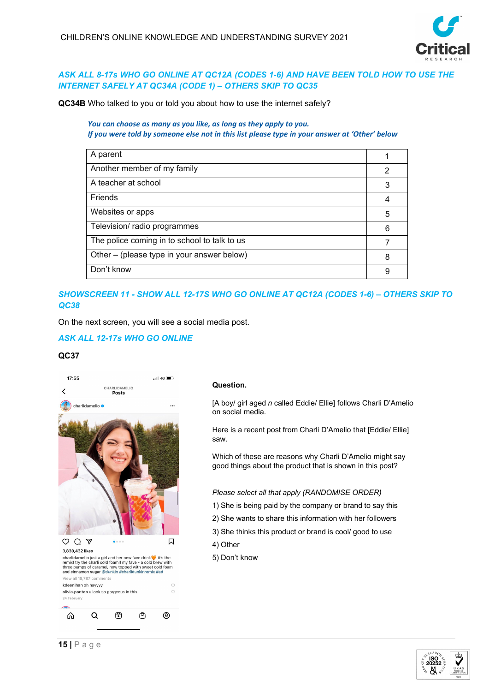

## *ASK ALL 8-17s WHO GO ONLINE AT QC12A (CODES 1-6) AND HAVE BEEN TOLD HOW TO USE THE INTERNET SAFELY AT QC34A (CODE 1) – OTHERS SKIP TO QC35*

**QC34B** Who talked to you or told you about how to use the internet safely?

### *You can choose as many as you like, as long as they apply to you. If you were told by someone else not in this list please type in your answer at 'Other' below*

| A parent                                     |   |
|----------------------------------------------|---|
| Another member of my family                  | 2 |
| A teacher at school                          | 3 |
| Friends                                      | 4 |
| Websites or apps                             | 5 |
| Television/ radio programmes                 | 6 |
| The police coming in to school to talk to us |   |
| Other – (please type in your answer below)   | 8 |
| Don't know                                   | 9 |

# *SHOWSCREEN 11 - SHOW ALL 12-17S WHO GO ONLINE AT QC12A (CODES 1-6) – OTHERS SKIP TO QC38*

On the next screen, you will see a social media post.

## *ASK ALL 12-17s WHO GO ONLINE*

### **QC37**



#### **Question.**

[A boy/ girl aged *n* called Eddie/ Ellie] follows Charli D'Amelio on social media.

Here is a recent post from Charli D'Amelio that [Eddie/ Ellie] saw.

Which of these are reasons why Charli D'Amelio might say good things about the product that is shown in this post?

#### *Please select all that apply (RANDOMISE ORDER)*

- 1) She is being paid by the company or brand to say this
- 2) She wants to share this information with her followers
- 3) She thinks this product or brand is cool/ good to use 4) Other
- 5) Don't know

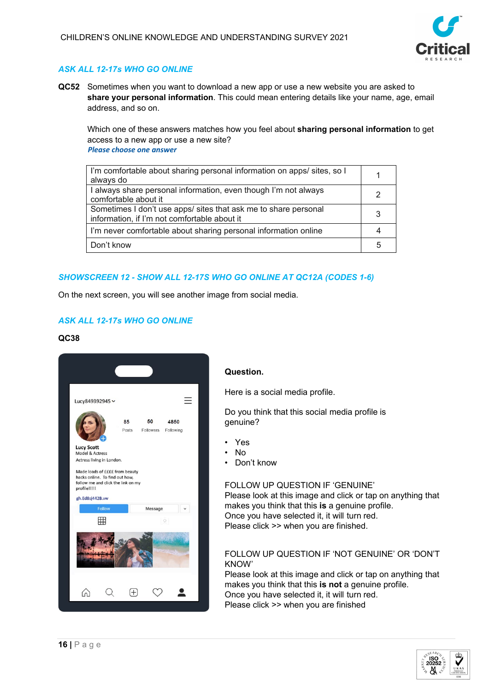

# *ASK ALL 12-17s WHO GO ONLINE*

**QC52** Sometimes when you want to download a new app or use a new website you are asked to **share your personal information**. This could mean entering details like your name, age, email address, and so on.

Which one of these answers matches how you feel about **sharing personal information** to get access to a new app or use a new site? *Please choose one answer*

| I'm comfortable about sharing personal information on apps/ sites, so I<br>always do                            |    |
|-----------------------------------------------------------------------------------------------------------------|----|
| I always share personal information, even though I'm not always<br>comfortable about it                         |    |
| Sometimes I don't use apps/ sites that ask me to share personal<br>information, if I'm not comfortable about it | 3  |
| I'm never comfortable about sharing personal information online                                                 |    |
| Don't know                                                                                                      | :5 |

### *SHOWSCREEN 12 - SHOW ALL 12-17S WHO GO ONLINE AT QC12A (CODES 1-6)*

On the next screen, you will see another image from social media.

# *ASK ALL 12-17s WHO GO ONLINE*

### **QC38**



## **Question.**

Here is a social media profile.

Do you think that this social media profile is genuine?

- Yes
- No
- Don't know

# FOLLOW UP QUESTION IF 'GENUINE'

Please look at this image and click or tap on anything that makes you think that this **is** a genuine profile. Once you have selected it, it will turn red. Please click >> when you are finished.

#### FOLLOW UP QUESTION IF 'NOT GENUINE' OR 'DON'T KNOW'

Please look at this image and click or tap on anything that makes you think that this **is not** a genuine profile. Once you have selected it, it will turn red. Please click >> when you are finished

> **ISO** 20252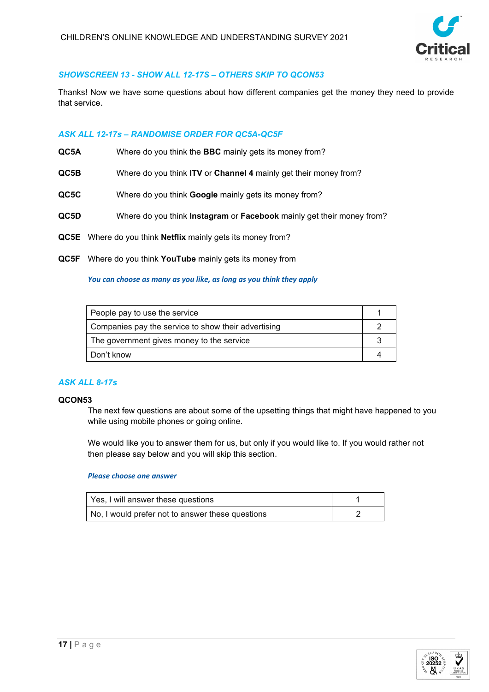

## *SHOWSCREEN 13 - SHOW ALL 12-17S – OTHERS SKIP TO QCON53*

Thanks! Now we have some questions about how different companies get the money they need to provide that service.

## *ASK ALL 12-17s – RANDOMISE ORDER FOR QC5A-QC5F*

- **QC5A** Where do you think the **BBC** mainly gets its money from?
- **QC5B** Where do you think **ITV** or **Channel 4** mainly get their money from?
- **QC5C** Where do you think **Google** mainly gets its money from?
- **QC5D** Where do you think **Instagram** or **Facebook** mainly get their money from?
- **QC5E** Where do you think **Netflix** mainly gets its money from?
- **QC5F** Where do you think **YouTube** mainly gets its money from

#### *You can choose as many as you like, as long as you think they apply*

| People pay to use the service                       |  |
|-----------------------------------------------------|--|
| Companies pay the service to show their advertising |  |
| The government gives money to the service           |  |
| Don't know                                          |  |

### *ASK ALL 8-17s*

#### **QCON53**

The next few questions are about some of the upsetting things that might have happened to you while using mobile phones or going online.

We would like you to answer them for us, but only if you would like to. If you would rather not then please say below and you will skip this section.

| Yes, I will answer these questions               |  |
|--------------------------------------------------|--|
| No, I would prefer not to answer these questions |  |

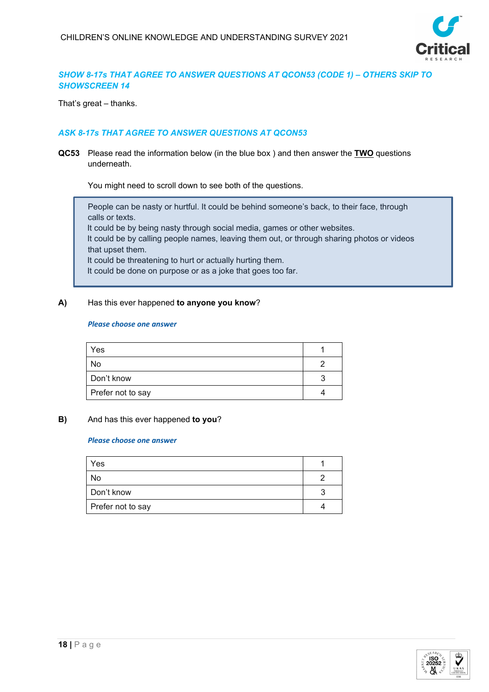

## *SHOW 8-17s THAT AGREE TO ANSWER QUESTIONS AT QCON53 (CODE 1) – OTHERS SKIP TO SHOWSCREEN 14*

That's great – thanks.

## *ASK 8-17s THAT AGREE TO ANSWER QUESTIONS AT QCON53*

**QC53** Please read the information below (in the blue box ) and then answer the **TWO** questions underneath.

You might need to scroll down to see both of the questions.

People can be nasty or hurtful. It could be behind someone's back, to their face, through calls or texts. It could be by being nasty through social media, games or other websites. It could be by calling people names, leaving them out, or through sharing photos or videos that upset them.

It could be threatening to hurt or actually hurting them. It could be done on purpose or as a joke that goes too far.

# **A)** Has this ever happened **to anyone you know**?

#### *Please choose one answer*

| Yes               |  |
|-------------------|--|
|                   |  |
| No                |  |
| Don't know        |  |
| Prefer not to say |  |

### **B)** And has this ever happened **to you**?

| Yes               |  |
|-------------------|--|
| No                |  |
| Don't know        |  |
| Prefer not to say |  |

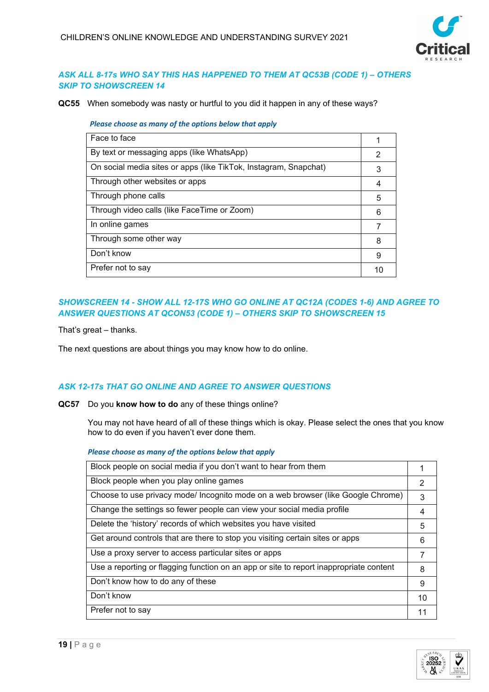

## *ASK ALL 8-17s WHO SAY THIS HAS HAPPENED TO THEM AT QC53B (CODE 1) – OTHERS SKIP TO SHOWSCREEN 14*

**QC55** When somebody was nasty or hurtful to you did it happen in any of these ways?

*Please choose as many of the options below that apply*

| Face to face<br>By text or messaging apps (like WhatsApp)<br>2<br>On social media sites or apps (like TikTok, Instagram, Snapchat)<br>3<br>Through other websites or apps<br>4<br>Through phone calls<br>5<br>Through video calls (like FaceTime or Zoom)<br>6<br>In online games<br>Through some other way<br>8<br>Don't know<br>9<br>Prefer not to say |  |
|----------------------------------------------------------------------------------------------------------------------------------------------------------------------------------------------------------------------------------------------------------------------------------------------------------------------------------------------------------|--|
|                                                                                                                                                                                                                                                                                                                                                          |  |
|                                                                                                                                                                                                                                                                                                                                                          |  |
|                                                                                                                                                                                                                                                                                                                                                          |  |
|                                                                                                                                                                                                                                                                                                                                                          |  |
|                                                                                                                                                                                                                                                                                                                                                          |  |
|                                                                                                                                                                                                                                                                                                                                                          |  |
|                                                                                                                                                                                                                                                                                                                                                          |  |
|                                                                                                                                                                                                                                                                                                                                                          |  |
|                                                                                                                                                                                                                                                                                                                                                          |  |
|                                                                                                                                                                                                                                                                                                                                                          |  |

# *SHOWSCREEN 14 - SHOW ALL 12-17S WHO GO ONLINE AT QC12A (CODES 1-6) AND AGREE TO ANSWER QUESTIONS AT QCON53 (CODE 1) – OTHERS SKIP TO SHOWSCREEN 15*

That's great – thanks.

The next questions are about things you may know how to do online.

## *ASK 12-17s THAT GO ONLINE AND AGREE TO ANSWER QUESTIONS*

**QC57** Do you **know how to do** any of these things online?

You may not have heard of all of these things which is okay. Please select the ones that you know how to do even if you haven't ever done them.

### *Please choose as many of the options below that apply*

| Block people on social media if you don't want to hear from them                       |    |
|----------------------------------------------------------------------------------------|----|
| Block people when you play online games                                                | 2  |
| Choose to use privacy mode/ Incognito mode on a web browser (like Google Chrome)       | 3  |
| Change the settings so fewer people can view your social media profile                 | 4  |
| Delete the 'history' records of which websites you have visited                        | 5  |
| Get around controls that are there to stop you visiting certain sites or apps          | 6  |
| Use a proxy server to access particular sites or apps                                  | 7  |
| Use a reporting or flagging function on an app or site to report inappropriate content | 8  |
| Don't know how to do any of these                                                      | 9  |
| Don't know                                                                             | 10 |
| Prefer not to say                                                                      | 11 |

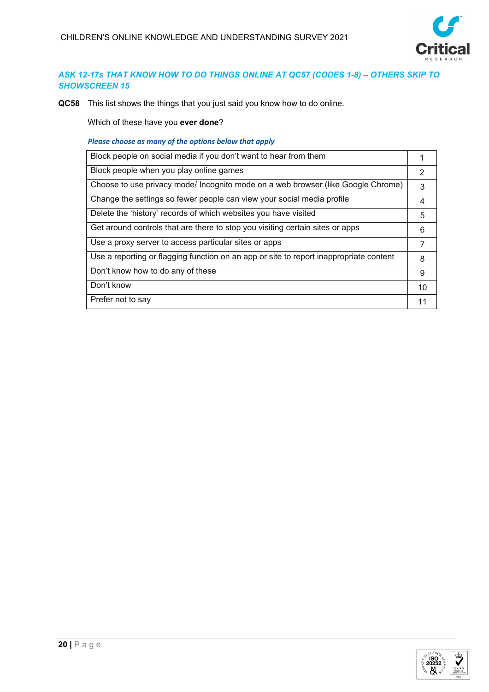

# *ASK 12-17s THAT KNOW HOW TO DO THINGS ONLINE AT QC57 (CODES 1-8) – OTHERS SKIP TO SHOWSCREEN 15*

**QC58** This list shows the things that you just said you know how to do online.

Which of these have you **ever done**?

*Please choose as many of the options below that apply*

| Block people on social media if you don't want to hear from them                       |    |
|----------------------------------------------------------------------------------------|----|
| Block people when you play online games                                                | 2  |
| Choose to use privacy mode/ Incognito mode on a web browser (like Google Chrome)       | 3  |
| Change the settings so fewer people can view your social media profile                 | 4  |
| Delete the 'history' records of which websites you have visited                        | 5  |
| Get around controls that are there to stop you visiting certain sites or apps          | 6  |
| Use a proxy server to access particular sites or apps                                  |    |
| Use a reporting or flagging function on an app or site to report inappropriate content | 8  |
| Don't know how to do any of these                                                      | 9  |
| Don't know                                                                             | 10 |
| Prefer not to say                                                                      | 11 |

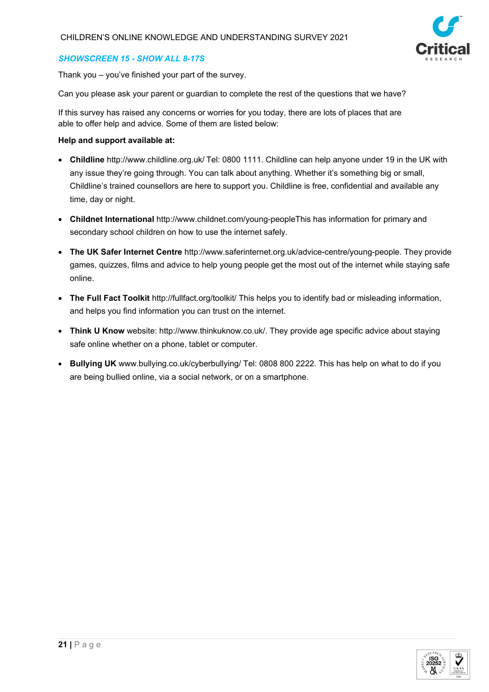

### *SHOWSCREEN 15 - SHOW ALL 8-17S*

Thank you – you've finished your part of the survey.

Can you please ask your parent or guardian to complete the rest of the questions that we have?

If this survey has raised any concerns or worries for you today, there are lots of places that are able to offer help and advice. Some of them are listed below:

### **Help and support available at:**

- **Childline** <http://www.childline.org.uk/> Tel: 0800 1111. Childline can help anyone under 19 in the UK with any issue they're going through. You can talk about anything. Whether it's something big or small, Childline's trained counsellors are here to support you. Childline is free, confidential and available any time, day or night.
- **Childnet International** [http://www.childnet.com/young-peopleT](http://www.childnet.com/young-people)his has information for primary and secondary school children on how to use the internet safely.
- **The UK Safer Internet Centre** [http://www.saferinternet.org.uk/advice-centre/young-people.](http://www.saferinternet.org.uk/advice-centre/young-people) They provide games, quizzes, films and advice to help young people get the most out of the internet while staying safe online.
- **The Full Fact Toolkit** <http://fullfact.org/toolkit/> This helps you to identify bad or misleading information, and helps you find information you can trust on the internet.
- **Think U Know** website: [http://www.thinkuknow.co.uk/.](http://www.thinkuknow.co.uk/) They provide age specific advice about staying safe online whether on a phone, tablet or computer.
- **Bullying UK** [www.bullying.co.uk/cyberbullying/](http://www.bullying.co.uk/cyberbullying/) Tel: 0808 800 2222. This has help on what to do if you are being bullied online, via a social network, or on a smartphone.

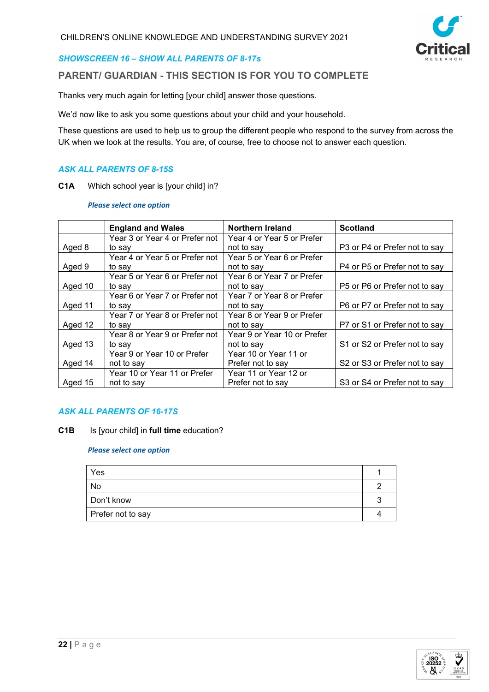

### *SHOWSCREEN 16 – SHOW ALL PARENTS OF 8-17s*

# **PARENT/ GUARDIAN - THIS SECTION IS FOR YOU TO COMPLETE**

Thanks very much again for letting [your child] answer those questions.

We'd now like to ask you some questions about your child and your household.

These questions are used to help us to group the different people who respond to the survey from across the UK when we look at the results. You are, of course, free to choose not to answer each question.

#### *ASK ALL PARENTS OF 8-15S*

**C1A** Which school year is [your child] in?

*Please select one option*

|         | <b>England and Wales</b>       | <b>Northern Ireland</b>     | <b>Scotland</b>               |
|---------|--------------------------------|-----------------------------|-------------------------------|
|         | Year 3 or Year 4 or Prefer not | Year 4 or Year 5 or Prefer  |                               |
| Aged 8  | to say                         | not to say                  | P3 or P4 or Prefer not to say |
|         | Year 4 or Year 5 or Prefer not | Year 5 or Year 6 or Prefer  |                               |
| Aged 9  | to say                         | not to say                  | P4 or P5 or Prefer not to say |
|         | Year 5 or Year 6 or Prefer not | Year 6 or Year 7 or Prefer  |                               |
| Aged 10 | to say                         | not to say                  | P5 or P6 or Prefer not to say |
|         | Year 6 or Year 7 or Prefer not | Year 7 or Year 8 or Prefer  |                               |
| Aged 11 | to say                         | not to say                  | P6 or P7 or Prefer not to say |
|         | Year 7 or Year 8 or Prefer not | Year 8 or Year 9 or Prefer  |                               |
| Aged 12 | to sav                         | not to say                  | P7 or S1 or Prefer not to say |
|         | Year 8 or Year 9 or Prefer not | Year 9 or Year 10 or Prefer |                               |
| Aged 13 | to sav                         | not to say                  | S1 or S2 or Prefer not to say |
|         | Year 9 or Year 10 or Prefer    | Year 10 or Year 11 or       |                               |
| Aged 14 | not to say                     | Prefer not to say           | S2 or S3 or Prefer not to say |
|         | Year 10 or Year 11 or Prefer   | Year 11 or Year 12 or       |                               |
| Aged 15 | not to say                     | Prefer not to say           | S3 or S4 or Prefer not to say |

### *ASK ALL PARENTS OF 16-17S*

**C1B** Is [your child] in **full time** education?

| Yes               |  |
|-------------------|--|
| No                |  |
| Don't know        |  |
| Prefer not to say |  |

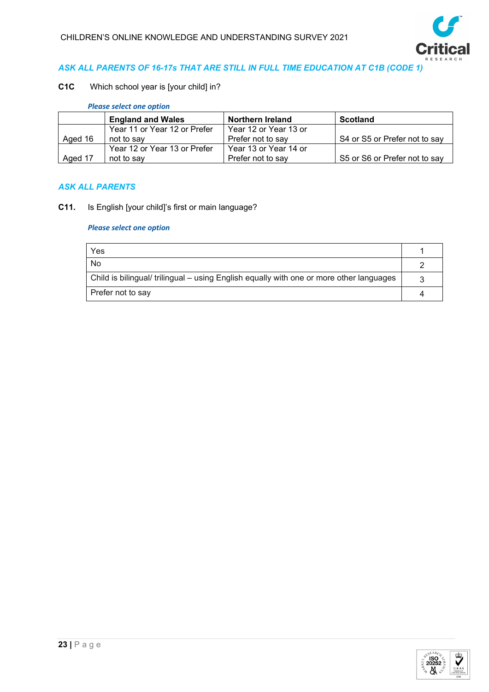

## *ASK ALL PARENTS OF 16-17s THAT ARE STILL IN FULL TIME EDUCATION AT C1B (CODE 1)*

## **C1C** Which school year is [your child] in?

### *Please select one option*

|         | <b>England and Wales</b>     | Northern Ireland      | <b>Scotland</b>               |
|---------|------------------------------|-----------------------|-------------------------------|
|         | Year 11 or Year 12 or Prefer | Year 12 or Year 13 or |                               |
| Aged 16 | not to say                   | Prefer not to say     | S4 or S5 or Prefer not to say |
|         | Year 12 or Year 13 or Prefer | Year 13 or Year 14 or |                               |
| Aged 17 | not to say                   | Prefer not to say     | S5 or S6 or Prefer not to say |

### *ASK ALL PARENTS*

**C11.** Is English [your child]'s first or main language?

| Yes                                                                                     |  |
|-----------------------------------------------------------------------------------------|--|
| No                                                                                      |  |
| Child is bilingual/ trilingual – using English equally with one or more other languages |  |
| Prefer not to say                                                                       |  |

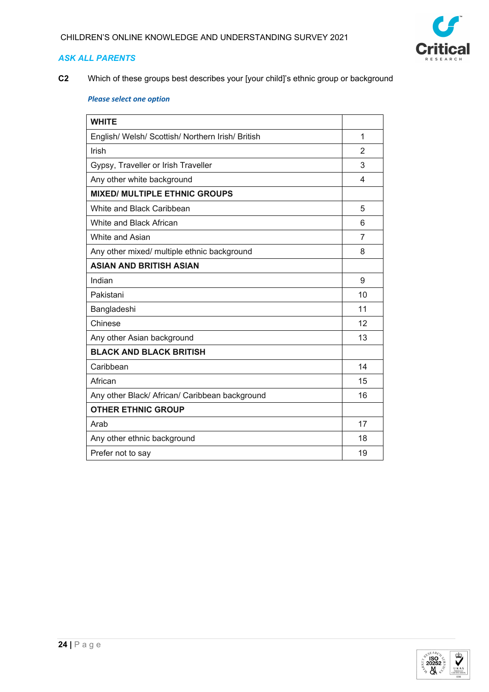

**C2** Which of these groups best describes your [your child]'s ethnic group or background

| <b>WHITE</b>                                      |    |
|---------------------------------------------------|----|
| English/ Welsh/ Scottish/ Northern Irish/ British | 1  |
| Irish                                             | 2  |
| Gypsy, Traveller or Irish Traveller               | 3  |
| Any other white background                        | 4  |
| <b>MIXED/ MULTIPLE ETHNIC GROUPS</b>              |    |
| White and Black Caribbean                         | 5  |
| White and Black African                           | 6  |
| White and Asian                                   | 7  |
| Any other mixed/ multiple ethnic background       | 8  |
| <b>ASIAN AND BRITISH ASIAN</b>                    |    |
| Indian                                            | 9  |
| Pakistani                                         | 10 |
| Bangladeshi                                       | 11 |
| Chinese                                           | 12 |
| Any other Asian background                        | 13 |
| <b>BLACK AND BLACK BRITISH</b>                    |    |
| Caribbean                                         | 14 |
| African                                           | 15 |
| Any other Black/ African/ Caribbean background    | 16 |
| <b>OTHER ETHNIC GROUP</b>                         |    |
| Arab                                              | 17 |
| Any other ethnic background                       | 18 |
| Prefer not to say                                 | 19 |

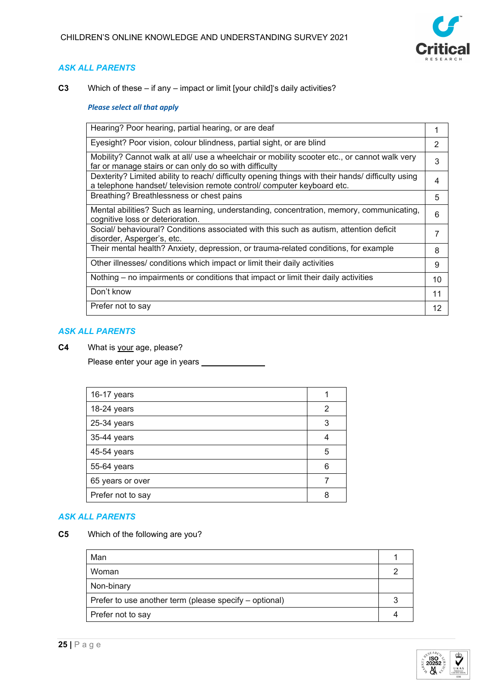

**C3** Which of these – if any – impact or limit [your child]'s daily activities?

### *Please select all that apply*

| Hearing? Poor hearing, partial hearing, or are deaf                                                                                                                         |    |
|-----------------------------------------------------------------------------------------------------------------------------------------------------------------------------|----|
| Eyesight? Poor vision, colour blindness, partial sight, or are blind                                                                                                        | 2  |
| Mobility? Cannot walk at all/ use a wheelchair or mobility scooter etc., or cannot walk very<br>far or manage stairs or can only do so with difficulty                      | 3  |
| Dexterity? Limited ability to reach/ difficulty opening things with their hands/ difficulty using<br>a telephone handset/ television remote control/ computer keyboard etc. | 4  |
| Breathing? Breathlessness or chest pains                                                                                                                                    | 5  |
| Mental abilities? Such as learning, understanding, concentration, memory, communicating,<br>cognitive loss or deterioration.                                                | 6  |
| Social/ behavioural? Conditions associated with this such as autism, attention deficit<br>disorder, Asperger's, etc.                                                        | 7  |
| Their mental health? Anxiety, depression, or trauma-related conditions, for example                                                                                         | 8  |
| Other illnesses/ conditions which impact or limit their daily activities                                                                                                    | 9  |
| Nothing – no impairments or conditions that impact or limit their daily activities                                                                                          | 10 |
| Don't know                                                                                                                                                                  | 11 |
| Prefer not to say                                                                                                                                                           | 12 |

# *ASK ALL PARENTS*

**C4** What is your age, please?

Please enter your age in years \_\_\_\_\_\_\_\_\_\_\_

| 16-17 years       |   |
|-------------------|---|
| 18-24 years       | 2 |
| 25-34 years       | 3 |
| 35-44 years       |   |
| 45-54 years       | 5 |
| 55-64 years       | 6 |
| 65 years or over  |   |
| Prefer not to say | 8 |

### *ASK ALL PARENTS*

**C5** Which of the following are you?

| Man                                                    |  |
|--------------------------------------------------------|--|
| Woman                                                  |  |
| Non-binary                                             |  |
| Prefer to use another term (please specify – optional) |  |
| Prefer not to say                                      |  |

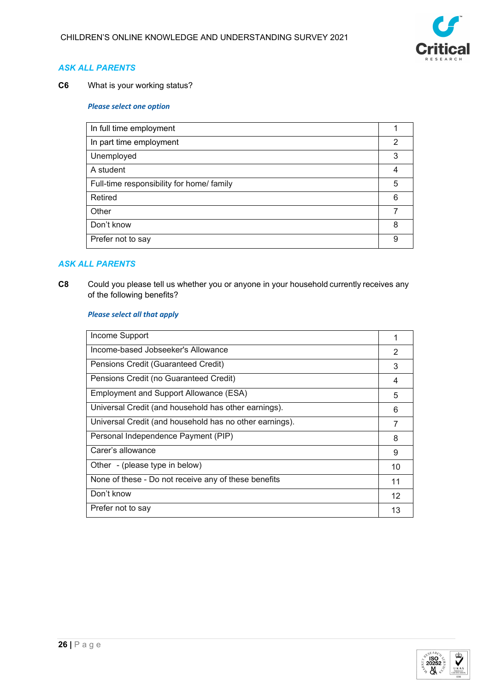

**C6** What is your working status?

#### *Please select one option*

| In full time employment                   |   |
|-------------------------------------------|---|
| In part time employment                   | 2 |
| Unemployed                                | 3 |
| A student                                 | 4 |
| Full-time responsibility for home/ family | 5 |
| Retired                                   | 6 |
| Other                                     |   |
| Don't know                                | 8 |
| Prefer not to say                         | 9 |

## *ASK ALL PARENTS*

**C8** Could you please tell us whether you or anyone in your household currently receives any of the following benefits?  

### *Please select all that apply*

| Income Support                                          |    |
|---------------------------------------------------------|----|
| Income-based Jobseeker's Allowance                      | 2  |
| Pensions Credit (Guaranteed Credit)                     | 3  |
| Pensions Credit (no Guaranteed Credit)                  | 4  |
| Employment and Support Allowance (ESA)                  | 5  |
| Universal Credit (and household has other earnings).    | 6  |
| Universal Credit (and household has no other earnings). | 7  |
| Personal Independence Payment (PIP)                     | 8  |
| Carer's allowance                                       | 9  |
| Other - (please type in below)                          | 10 |
| None of these - Do not receive any of these benefits    | 11 |
| Don't know                                              | 12 |
| Prefer not to say                                       | 13 |
|                                                         |    |